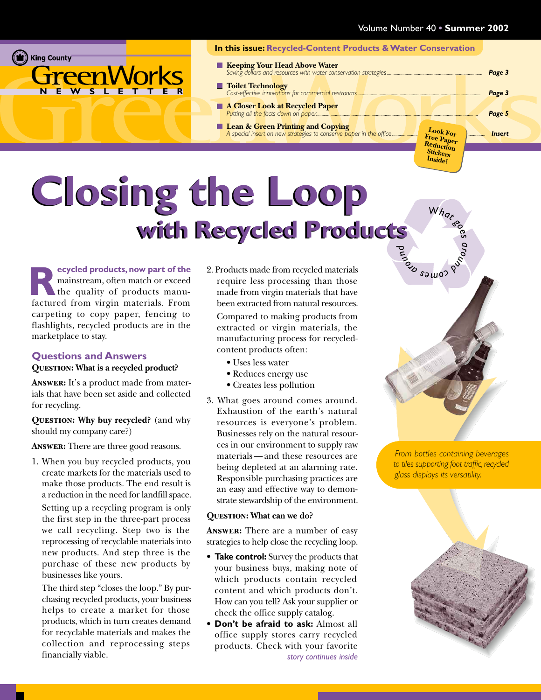<span id="page-0-0"></span>

#### **In this issue: Recycled-Content Products & Water Conservation Keeping Your Head Above Water** *[Saving dollars and resources with water conservation strategies......................................................................................](#page-2-0) Page 3* **Toilet Technology** *[Cost-effective innovations for commercial restrooms...............................................................................................................](#page-2-0) Page 3* **A Closer Look at Recycled Paper**

- **Lean & Green Printing and Copying** *[A special insert on new strategies to conserve paper in the office](#page-6-0) ....................[................................................](#page-5-0)................ Insert*
- *[Putting all the facts down on paper..................................................................................................................................................](#page-4-0) Page 5* **Look For Free Paper Reduction Stickers**

### **Closing the Loop with Recycled Products** *und*

**ecycled products, now part of the** mainstream, often match or exceed the quality of products manufactured from virgin materials. From **R** carpeting to copy paper, fencing to flashlights, recycled products are in the marketplace to stay.

#### **Questions and Answers**

#### **Question: What is a recycled product?**

**Answer:** It's a product made from materials that have been set aside and collected for recycling.

**Question: Why buy recycled?** (and why should my company care?)

**Answer:** There are three good reasons.

1. When you buy recycled products, you create markets for the materials used to make those products. The end result is a reduction in the need for landfill space.

Setting up a recycling program is only the first step in the three-part process we call recycling. Step two is the reprocessing of recyclable materials into new products. And step three is the purchase of these new products by businesses like yours.

The third step "closes the loop." By purchasing recycled products, your business helps to create a market for those products, which in turn creates demand for recyclable materials and makes the collection and reprocessing steps financially viable.

2. Products made from recycled materials require less processing than those made from virgin materials that have been extracted from natural resources.

Compared to making products from extracted or virgin materials, the manufacturing process for recycledcontent products often:

- Uses less water
- Reduces energy use
- Creates less pollution
- 3. What goes around comes around. Exhaustion of the earth's natural resources is everyone's problem. Businesses rely on the natural resources in our environment to supply raw materials — and these resources are being depleted at an alarming rate. Responsible purchasing practices are an easy and effective way to demonstrate stewardship of the environment.

#### **Question: What can we do?**

**Answer:** There are a number of easy strategies to help close the recycling loop.

- **Take control:** Survey the products that your business buys, making note of which products contain recycled content and which products don't. How can you tell? Ask your supplier or check the office supply catalog.
- **Don't be afraid to ask:** Almost all office supply stores carry recycled products. Check with your favorite *[story continues inside](#page-1-0)*

*From bottles containing beverages to tiles supporting foot traffic, recycled glass displays its versatility.*

What

*a<sup>r</sup>oun<sup>d</sup> mo<sup>c</sup> <sup>s</sup> <sup>e</sup> <sup>a</sup> <sup>o</sup><sup>r</sup>*

**Inside!**

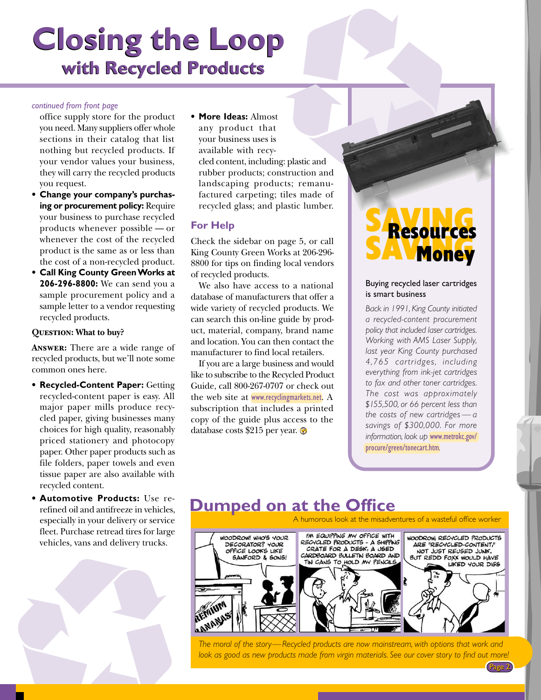### <span id="page-1-0"></span>**Closing the Loop with Recycled Products**

#### *[continued from front page](#page-0-0)*

office supply store for the product you need. Many suppliers offer whole sections in their catalog that list nothing but recycled products. If your vendor values your business, they will carry the recycled products you request.

- **Change your company's purchasing or procurement policy:** Require your business to purchase recycled products whenever possible — or whenever the cost of the recycled product is the same as or less than the cost of a non-recycled product.
- **Call King County Green Works at 206-296-8800:** We can send you a sample procurement policy and a sample letter to a vendor requesting recycled products.

#### **Question: What to buy?**

**Answer:** There are a wide range of recycled products, but we'll note some common ones here.

- **Recycled-Content Paper:** Getting recycled-content paper is easy. All major paper mills produce recycled paper, giving businesses many choices for high quality, reasonably priced stationery and photocopy paper. Other paper products such as file folders, paper towels and even tissue paper are also available with recycled content.
- **Automotive Products:** Use rerefined oil and antifreeze in vehicles, especially in your delivery or service fleet. Purchase retread tires for large vehicles, vans and delivery trucks.



• **More Ideas:** Almost any product that your business uses is available with recycled content, including: plastic and rubber products; construction and landscaping products; remanufactured carpeting; tiles made of recycled glass; and plastic lumber.

#### **For Help**

[Check the sidebar on page 5,](#page-4-0) or call King County Green Works at 206-296- 8800 for tips on finding local vendors of recycled products.

We also have access to a national database of manufacturers that offer a wide variety of recycled products. We can search this on-line guide by product, material, company, brand name and location. You can then contact the manufacturer to find local retailers.

If you are a large business and would like to subscribe to the Recycled Product Guide, call 800-267-0707 or check out the web site at [www.recyclingmarkets.net](http://www.recyclingmarkets.net). A subscription that includes a printed copy of the guide plus access to the database costs \$215 per year.  $\odot$ 

### S<br>Resources SAVINGS

#### Buying recycled laser cartridges is smart business

*Back in 1991, King County initiated a recycled-content procurement policy that included laser cartridges. Working with AMS Laser Supply, last year King County purchased 4,765 cartridges, including everything from ink-jet cartridges to fax and other toner cartridges. The cost was approximately \$155,500, or 66 percent less than the costs of new cartridges — a savings of \$300,000. For more information, look up* [www.metrokc.gov/](http://www.metrokc.gov/procure/green/tonecart.htm) [procure/green/tonecart.htm](http://www.metrokc.gov/procure/green/tonecart.htm)*.*

Page 2

### **Dumped on at the Office**



*The moral of the story—Recycled products are now mainstream, with options that work and look as good as new products made from virgin materials. See our cover story to find out more!*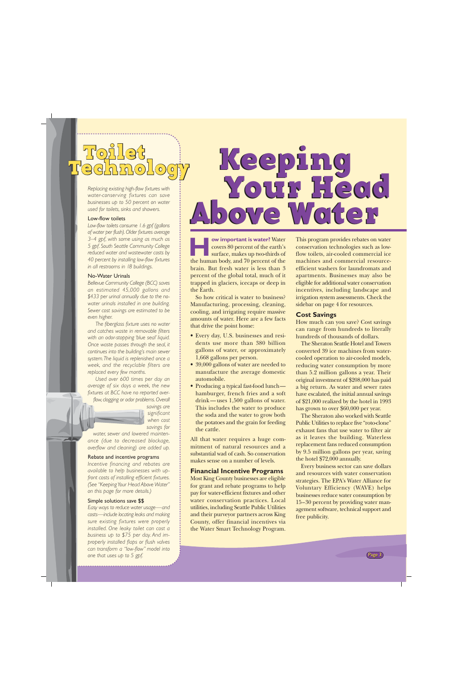# <span id="page-2-0"></span>'oilet<br>danolo

*Replacing existing high-flow fixtures with water-conserving fixtures can save businesses up to 50 percent on water used for toilets, sinks and showers.*

#### Low-flow toilets

*Low-flow toilets consume 1.6 gpf (gallons of water per flush). Older fixtures average 3–4 gpf, with some using as much as 5 gpf. South Seattle Community College reduced water and wastewater costs by 40 percent by installing low-flow fixtures in all restrooms in 18 buildings.*

#### No-Water Urinals

*Bellevue Community College (BCC) saves an estimated 45,000 gallons and \$433 per urinal annually due to the nowater urinals installed in one building. Sewer cost savings are estimated to be even higher.*

*The fiberglass fixture uses no water and catches waste in removable filters with an odor-stopping 'blue seal' liquid. Once waste passes through the seal, it continues into the building's main sewer system. The liquid is replenished once a week, and the recyclable filters are replaced every few months.*

*Used over 600 times per day an average of six days a week, the new fixtures at BCC have no reported overflow, clogging or odor problems. Overall*



*savings are significant when cost savings for*

*water, sewer and lowered maintenance (due to decreased blockage, overflow and cleaning) are added up.*

#### Rebate and incentive programs

*Incentive financing and rebates are available to help businesses with upfront costs of installing efficient fixtures. (See "Keeping Your Head Above Water" on this page for more details.)*

#### Simple solutions save \$\$

*Easy ways to reduce water usage—and costs—include locating leaks and making sure existing fixtures were properly installed. One leaky toilet can cost a business up to \$75 per day. And improperly installed flaps or flush valves can transform a "low-flow" model into one that uses up to 5 gpf.*

### Keeping Your Head Above Water Above Water Keeping Your Head

**ow important is water?** Water covers 80 percent of the earth's surface, makes up two-thirds of **Example 18 per covers 80 percent of the earth's surface, makes up two-thirds of the human body, and 70 percent of the** brain. But fresh water is less than 3 percent of the global total, much of it trapped in glaciers, icecaps or deep in the Earth.

So how critical is water to business? Manufacturing, processing, cleaning, cooling, and irrigating require massive amounts of water. Here are a few facts that drive the point home:

- Every day, U.S. businesses and residents use more than 380 billion gallons of water, or approximately 1,668 gallons per person.
- 39,000 gallons of water are needed to manufacture the average domestic automobile.
- Producing a typical fast-food lunch hamburger, french fries and a soft drink — uses 1,500 gallons of water. This includes the water to produce the soda and the water to grow both the potatoes and the grain for feeding the cattle.

All that water requires a huge commitment of natural resources and a substantial wad of cash. So conservation makes sense on a number of levels.

#### **Financial Incentive Programs**

Most King County businesses are eligible for grant and rebate programs to help pay for water-efficient fixtures and other water conservation practices. Local utilities, including Seattle Public Utilities and their purveyor partners across King County, offer financial incentives via the Water Smart Technology Program.

This program provides rebates on water conservation technologies such as lowflow toilets, air-cooled commercial ice machines and commercial resourceefficient washers for laundromats and apartments. Businesses may also be eligible for additional water conservation incentives, including landscape and irrigation system assessments[. Check the](#page-3-0) [sidebar on page 4 for resources.](#page-3-0)

#### **Cost Savings**

How much can you save? Cost savings can range from hundreds to literally hundreds of thousands of dollars.

The Sheraton Seattle Hotel and Towers converted 39 ice machines from watercooled operation to air-cooled models, reducing water consumption by more than 5.2 million gallons a year. Their original investment of \$208,000 has paid a big return. As water and sewer rates have escalated, the initial annual savings of \$21,000 realized by the hotel in 1993 has grown to over \$60,000 per year.

The Sheraton also worked with Seattle Public Utilities to replace five "roto-clone" exhaust fans that use water to filter air as it leaves the building. Waterless replacement fans reduced consumption by 9.5 million gallons per year, saving the hotel \$72,000 annually.

Every business sector can save dollars and resources with water conservation strategies. The EPA's Water Alliance for Voluntary Efficiency (WAVE) helps businesses reduce water consumption by 15–30 percent by providing water management software, technical support and free publicity.

Page 3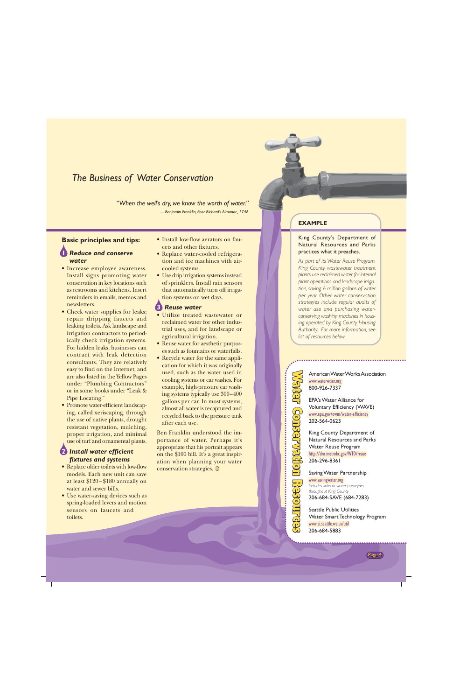#### <span id="page-3-0"></span>*The Business of Water Conservation*

*"When the well's dry, we know the worth of water."*

*—Benjamin Franklin, Poor Richard's Almanac, 1746*

#### **Basic principles and tips: 1** *Reduce and conserve water*

- Increase employee awareness. Install signs promoting water conservation in key locations such as restrooms and kitchens. Insert reminders in emails, memos and newsletters.
- Check water supplies for leaks; repair dripping faucets and leaking toilets. Ask landscape and irrigation contractors to periodically check irrigation systems. For hidden leaks, businesses can contract with leak detection consultants. They are relatively easy to find on the Internet, and are also listed in the Yellow Pages under "Plumbing Contractors" or in some books under "Leak & Pipe Locating."
- Promote water-efficient landscaping, called xeriscaping, through the use of native plants, drought resistant vegetation, mulching, proper irrigation, and minimal use of turf and ornamental plants.

#### **2** *Install water efficient fixtures and systems*

- Replace older toilets with low-flow models. Each new unit can save at least \$120 – \$180 annually on water and sewer bills.
- Use water-saving devices such as spring-loaded levers and motion sensors on faucets and toilets.
- Install low-flow aerators on faucets and other fixtures.
- Replace water-cooled refrigeration and ice machines with aircooled systems.
- Use drip irrigation systems instead of sprinklers. Install rain sensors that automatically turn off irrigation systems on wet days.

#### **3** *Reuse water*

- Utilize treated wastewater or reclaimed water for other industrial uses, and for landscape or agricultural irrigation.
- Reuse water for aesthetic purposes such as fountains or waterfalls.
- Recycle water for the same application for which it was originally used, such as the water used in cooling systems or car washes. For example, high-pressure car washing systems typically use 300–400 gallons per car. In most systems, almost all water is recaptured and recycled back to the pressure tank after each use.

Ben Franklin understood the importance of water. Perhaps it's appropriate that his portrait appears on the \$100 bill. It's a great inspiration when planning your water conservation strategies.

#### **EXAMPLE**

#### King County's Department of Natural Resources and Parks practices what it preaches.

*As part of its Water Reuse Program, King County wastewater treatment plants use reclaimed water for internal plant operations and landscape irrigation, saving 6 million gallons of water per year. Other water conservation strategies include regular audits of water use and purchasing waterconserving washing machines in housing operated by King County Housing Authority. For more information, see list of resources below.*

> [American Water Works Association](http://www.waterwiser.org) www.waterwiser.org 800-926-7337

EPA's Water Alliance for [Voluntary Efficiency \(WAVE\)](http://www.epa.gov/owm/water-efficiency) www.epa.gov/owm/water-efficiency 202-564-0623

King County Department of [Natural Resources and Parks](http://dnr.metrokc.gov/WTD/reuse) Water Reuse Program http://dnr.metrokc.gov/WTD/reuse 206-296-8361

Water Conservation Resources ater

Saving Water Partnership www.savingwater.org *Includes links to water purveyors*

*throughout King County* [206-684-SAVE \(684-7283\)](http://www.savingwater.org)

Seattle Public Utilities [Water Smart Technology Program](http://www.ci.seattle.wa.us/util) www.ci.seattle.wa.us/util 206-684-5883

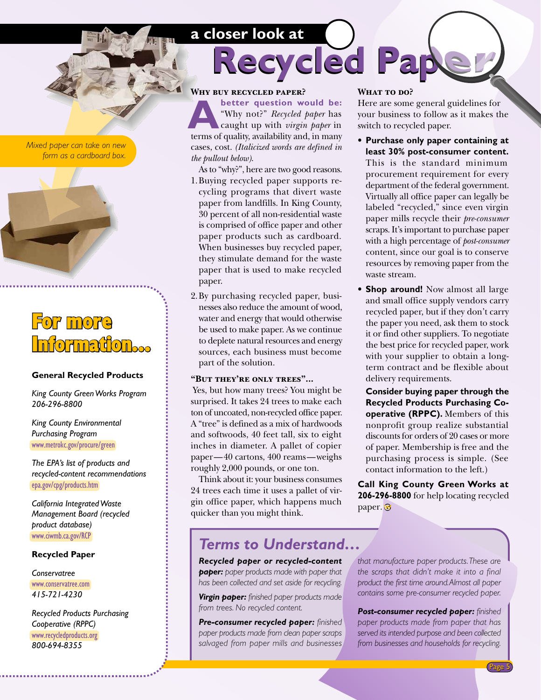#### **a closer look at**

<span id="page-4-0"></span>*Mixed paper can take on new form as a cardboard box.*



### For more Information...

#### **General Recycled Products**

*[King County Green Works Program](http://www.metrokc.gov/greenworks) 206-296-8800*

*[King County Environmental](http://www.metrokc.gov/procure/green) Purchasing Program* www.metrokc.gov/procure/green

*The EPA's list of products and [recycled-content recommendations](http://epa.gov/cpg/products.htm)* epa.gov/cpg/products.htm

*California Integrated Waste [Management Board \(recycled](http://www.ciwmb.ca.gov/RCP) product database)* www.ciwmb.ca.gov/RCP

#### **Recycled Paper**

*Conservatree* [www.conservatree.com](http://www.conservatree.com) *415-721-4230*

*[Recycled Products Purchasing](http://www.recycledproducts.org) Cooperative (RPPC)* www.recycledproducts.org *800-694-8355*

#### **Why buy recycled paper?**

**better question would be:** "Why not?" *Recycled paper* has caught up with *virgin paper* in **A** better question would be:<br>
"Why not?" Recycled paper has<br>
caught up with *virgin paper* in<br>
terms of quality, availability and, in many cases, cost. *(Italicized words are defined in the pullout below)*.

- As to "why?", here are two good reasons. 1.Buying recycled paper supports recycling programs that divert waste paper from landfills. In King County, 30 percent of all non-residential waste is comprised of office paper and other paper products such as cardboard. When businesses buy recycled paper, they stimulate demand for the waste paper that is used to make recycled paper.
- 2.By purchasing recycled paper, businesses also reduce the amount of wood, water and energy that would otherwise be used to make paper. As we continue to deplete natural resources and energy sources, each business must become part of the solution.

#### **"But they're only trees"...**

 Yes, but how many trees? You might be surprised. It takes 24 trees to make each ton of uncoated, non-recycled office paper. A "tree" is defined as a mix of hardwoods and softwoods, 40 feet tall, six to eight inches in diameter. A pallet of copier paper—40 cartons, 400 reams—weighs roughly 2,000 pounds, or one ton.

Think about it: your business consumes 24 trees each time it uses a pallet of virgin office paper, which happens much quicker than you might think.

#### WHAT TO DO?

**Recycled Pa** 

Here are some general guidelines for your business to follow as it makes the switch to recycled paper.

- **Purchase only paper containing at least 30% post-consumer content.** This is the standard minimum procurement requirement for every department of the federal government. Virtually all office paper can legally be labeled "recycled," since even virgin paper mills recycle their *pre-consumer* scraps. It's important to purchase paper with a high percentage of *post-consumer* content, since our goal is to conserve resources by removing paper from the waste stream.
- **Shop around!** Now almost all large and small office supply vendors carry recycled paper, but if they don't carry the paper you need, ask them to stock it or find other suppliers. To negotiate the best price for recycled paper, work with your supplier to obtain a longterm contract and be flexible about delivery requirements.

**Consider buying paper through the Recycled Products Purchasing Cooperative (RPPC).** Members of this nonprofit group realize substantial discounts for orders of 20 cases or more of paper. Membership is free and the purchasing process is simple. (See contact information to the left.)

**Call King County Green Works at 206-296-8800** for help locating recycled paper.<sup>o</sup>

#### *Terms to Understand…*

*Recycled paper or recycled-content paper: paper products made with paper that has been collected and set aside for recycling.*

*Virgin paper: finished paper products made from trees. No recycled content.*

*Pre-consumer recycled paper: finished paper products made from clean paper scraps salvaged from paper mills and businesses* *that manufacture paper products. These are the scraps that didn't make it into a final product the first time around. Almost all paper contains some pre-consumer recycled paper.*

*Post-consumer recycled paper: finished paper products made from paper that has served its intended purpose and been collected from businesses and households for recycling.*

Page 5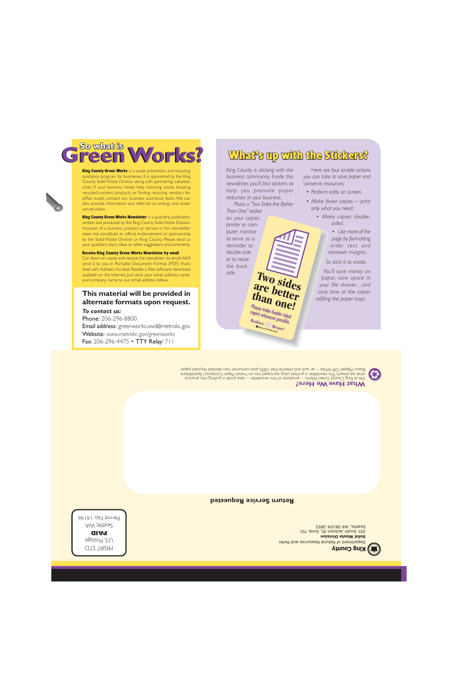Department of Natural Resources and Parks **Solid Waste Division**

**King County** 

Seattle, WA 98104-3855

201 South Jackson St, Suite 701

**Return Service Requested**

**What Have We Here?** We at King County Green Works — producer of this newsletter — take pride in putting into practice

what we preach. I his newsletter is printed using soy-based inks on French Paper Company's Speckletone Basics–Pepper Off-White—an acid and chlorine free 100% post-consumer non-deinked recycled paper.

**Two sides are better than one!** Please make double-sided copies whenever possible. **Reduce Reuse!**

*To contact us:* Phone: 206-296-8800 Email address: [greenworks.swd@metrokc.gov](mailto:greenworks.swd@metrokc.gov) Website: *[www.metrokc.gov/greenworks](http://www.metrokc.gov/greenworks)* Fax: 206-296-4475 • TTY Relay: 711

PRSRT STD S. Postage U. **PAID** Seattle, WA  $P$ ermit No. 14146

#### **This material will be provided in alternate formats upon request.**

Receive King County Green Works Newsletter by email Cut down on waste and receive the newsletter via email. We'll send it to you in Portable Document Format (PDF) that's read with Adobe's Acrobat Reader, a free software download available on the Internet. Just send your email address, name,

and company name to our email address below.

#### your questions, story ideas or other suggestions and comments.

conservation. King County Green Works Newsletter is a quarterly publication written and produced by the King County Solid Waste Division. Inclusion of a business, product or service in this newsletter does not constitute an official endorsement or sponsorship by the Solid Waste Division or King County. Please send us

**King County Green Works** is a waste prevention and recycling assistance program for businesses. It is sponsored by the King County Solid Waste Division along with partnering suburban cities. If your business needs help reducing waste, locating recycled-content products or finding recycling vendors for office waste, contact our business assistance team. We can also provide information and referrals on energy and water

### <span id="page-5-0"></span>So what is<br> **GREAD WOFKS?** What's up with the Stickers?

*King County is sticking with the business community. Inside this newsletter, you'll find stickers to help you promote paper reduction in your business.*

*Place a "Two Sides Are Better*

*Than One" sticker on your copier, printer or computer monitor to serve as a reminder to double-side or to reuse the back*

*side.*

*Here are four simple actions you can take to save paper and conserve resources:*

- *Perform edits on screen.*
- *Make fewer copies print only what you need.*
	- *Make copies doublesided.*

*• Use more of the page by formatting wider text and narrower margins.*

*So stick it to waste.*

*You'll save money on paper, save space in your file drawer…and save time at the copier refilling the paper trays.*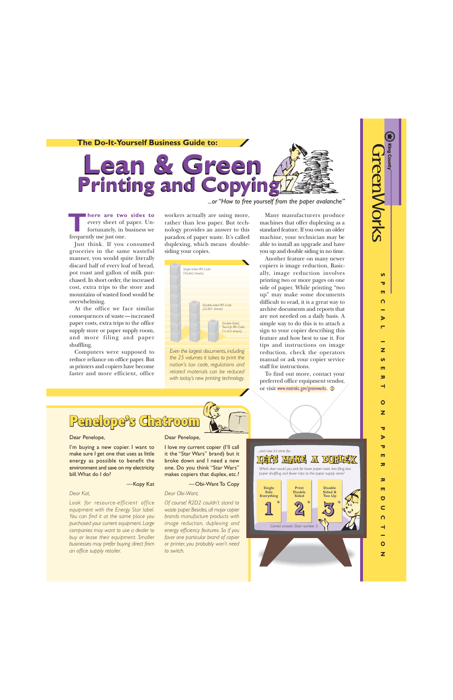$\overline{a}$ 70 m  $\Omega$ 

Ъ

Z  $\overline{u}$ m 57 ۳

**SPECIAL INSERT ON PAPER REDUCTION**

57 Þ 70 m

 $\overline{\mathbf{x}}$ 

丙 m  $\overline{\mathbf{C}}$ Ċ n

 $\overline{O}$  $\overline{z}$ 

 $\overline{O}$ Z

<span id="page-6-0"></span>

*...or "How to free yourself from the paper avalanche"*

**here are two sides to** every sheet of paper. Unfortunately, in business we frequently use just one. **THERE ARE THE SERVIE SERVIES AND THE SERVIE SERVIE SERVIE SERVIE SPACE SERVIE SPACE SERVIE SPACE SERVIES SPACE SPACE SPACE SPACE SPACE SPACE SPACE SPACE SPACE SPACE SPACE SPACE SPACE SPACE SPACE SPACE SPACE SPACE SPACE SP** 

Just think. If you consumed groceries in the same wasteful manner, you would quite literally discard half of every loaf of bread, pot roast and gallon of milk purchased. In short order, the increased cost, extra trips to the store and mountains of wasted food would be overwhelming.

At the office we face similar consequences of waste—increased paper costs, extra trips to the office supply store or paper supply room, and more filing and paper shuffling.

Computers were supposed to reduce reliance on office paper. But as printers and copiers have become faster and more efficient, office rather than less paper. But technology provides an answer to this paradox of paper waste. It's called duplexing, which means doublesiding your copies.



*Even the largest documents, including the 25 volumes it takes to print the nation's tax code, regulations and related materials can be reduced with today's new printing technology.*

Many manufacturers produce machines that offer duplexing as a standard feature. If you own an older machine, your technician may be able to install an upgrade and have you up and double siding in no time.

Another feature on many newer copiers is image reduction. Basically, image reduction involves printing two or more pages on one side of paper. While printing "two up" may make some documents difficult to read, it is a great way to archive documents and reports that are not needed on a daily basis. A simple way to do this is to attach a sign to your copier describing this feature and how best to use it. For tips and instructions on image reduction, check the operators manual or ask your copier service staff for instructions.

To find out more, contact your preferred office equipment vendor, or visit [www.metrokc.gov/greenworks](http://www.metrokc.gov/greenworks).



#### Dear Penelope,

I'm buying a new copier. I want to make sure I get one that uses as little energy as possible to benefit the environment and save on my electricity bill. What do I do?

#### —Kopy Kat

#### *Dear Kat,*

*Look for resource-efficient office equipment with the Energy Star label. You can find it at the same place you purchased your current equipment. Large companies may want to use a dealer to buy or lease their equipment. Smaller businesses may prefer buying direct from an office supply retailer.*

#### Dear Penelope,

I love my current copier (I'll call it the "Star Wars" brand) but it broke down and I need a new one. Do you think "Star Wars" makes copiers that duplex, etc.?

#### —Obi-Want To Copy

#### *Dear Obi-Want,*

*Of course! R2D2 couldn't stand to waste paper. Besides, all major copier brands manufacture products with image reduction, duplexing and energy efficiency features. So if you favor one particular brand of copier or printer, you probably won't need to switch.*